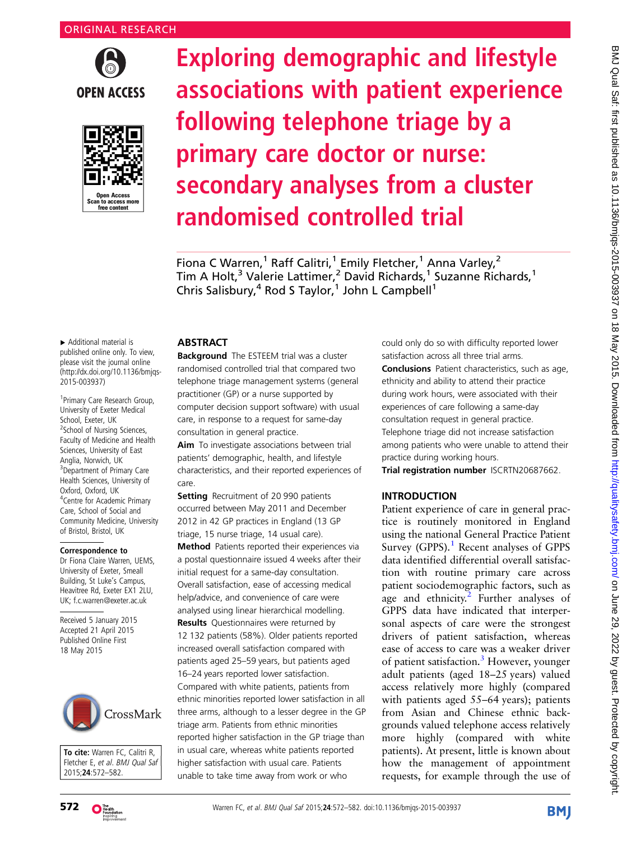# ORIGINAL RESEARCH





Exploring demographic and lifestyle associations with patient experience following telephone triage by a primary care doctor or nurse: secondary analyses from a cluster randomised controlled trial

Fiona C Warren,<sup>1</sup> Raff Calitri,<sup>1</sup> Emily Fletcher,<sup>1</sup> Anna Varley,<sup>2</sup> Tim A Holt,<sup>3</sup> Valerie Lattimer,<sup>2</sup> David Richards,<sup>1</sup> Suzanne Richards,<sup>1</sup> Chris Salisbury, $4$  Rod S Taylor, $1$  John L Campbell<sup>1</sup>

▸ Additional material is published online only. To view, please visit the journal online ([http://dx.doi.org/10.1136/bmjqs-](http://dx.doi.org/10.1136/bmjqs-2015-003937)[2015-003937](http://dx.doi.org/10.1136/bmjqs-2015-003937))

<sup>1</sup> Primary Care Research Group, University of Exeter Medical School, Exeter, UK <sup>2</sup>School of Nursing Sciences, Faculty of Medicine and Health Sciences, University of East Anglia, Norwich, UK <sup>3</sup>Department of Primary Care Health Sciences, University of Oxford, Oxford, UK <sup>4</sup> Centre for Academic Primary Care, School of Social and Community Medicine, University of Bristol, Bristol, UK

#### Correspondence to

Dr Fiona Claire Warren, UEMS, University of Exeter, Smeall Building, St Luke's Campus, Heavitree Rd, Exeter EX1 2LU, UK; f.c.warren@exeter.ac.uk

Received 5 January 2015 Accepted 21 April 2015 Published Online First 18 May 2015



To cite: Warren FC, Calitri R, Fletcher E, et al. BMJ Qual Saf 2015;24:572–582.

#### ABSTRACT

**Background** The ESTEEM trial was a cluster randomised controlled trial that compared two telephone triage management systems (general practitioner (GP) or a nurse supported by computer decision support software) with usual care, in response to a request for same-day consultation in general practice.

Aim To investigate associations between trial patients' demographic, health, and lifestyle characteristics, and their reported experiences of care.

Setting Recruitment of 20 990 patients occurred between May 2011 and December 2012 in 42 GP practices in England (13 GP triage, 15 nurse triage, 14 usual care).

Method Patients reported their experiences via a postal questionnaire issued 4 weeks after their initial request for a same-day consultation. Overall satisfaction, ease of accessing medical help/advice, and convenience of care were analysed using linear hierarchical modelling.

**Results** Questionnaires were returned by 12 132 patients (58%). Older patients reported increased overall satisfaction compared with patients aged 25–59 years, but patients aged 16–24 years reported lower satisfaction. Compared with white patients, patients from ethnic minorities reported lower satisfaction in all three arms, although to a lesser degree in the GP triage arm. Patients from ethnic minorities reported higher satisfaction in the GP triage than in usual care, whereas white patients reported higher satisfaction with usual care. Patients unable to take time away from work or who

could only do so with difficulty reported lower satisfaction across all three trial arms. Conclusions Patient characteristics, such as age, ethnicity and ability to attend their practice during work hours, were associated with their experiences of care following a same-day consultation request in general practice. Telephone triage did not increase satisfaction among patients who were unable to attend their practice during working hours.

Trial registration number ISCRTN20687662.

### INTRODUCTION

Patient experience of care in general practice is routinely monitored in England using the national General Practice Patient Survey (GPPS).<sup>[1](#page-9-0)</sup> Recent analyses of GPPS data identified differential overall satisfaction with routine primary care across patient sociodemographic factors, such as age and ethnicity.<sup>[2](#page-9-0)</sup> Further analyses of GPPS data have indicated that interpersonal aspects of care were the strongest drivers of patient satisfaction, whereas ease of access to care was a weaker driver of patient satisfaction.<sup>3</sup> However, younger adult patients (aged 18–25 years) valued access relatively more highly (compared with patients aged 55–64 years); patients from Asian and Chinese ethnic backgrounds valued telephone access relatively more highly (compared with white patients). At present, little is known about how the management of appointment requests, for example through the use of



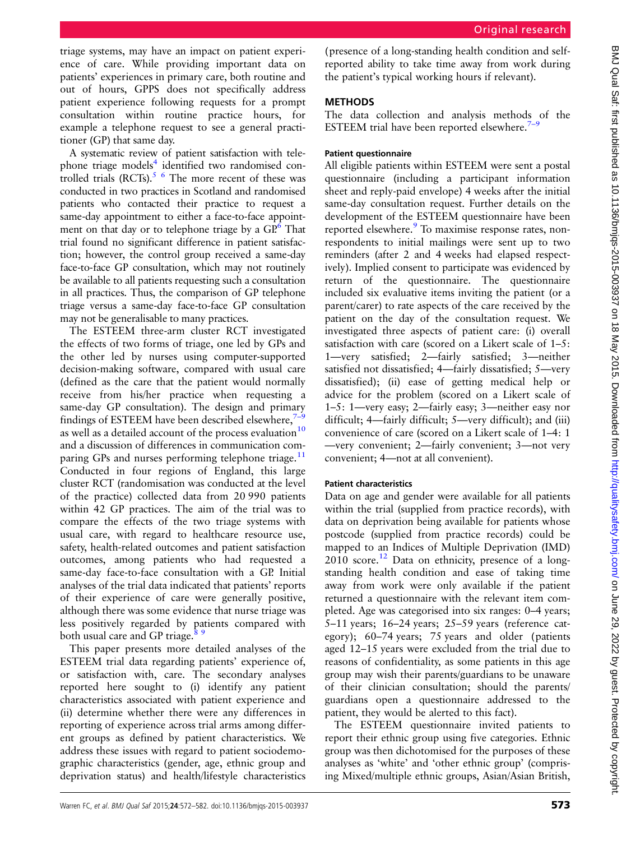triage systems, may have an impact on patient experience of care. While providing important data on patients' experiences in primary care, both routine and out of hours, GPPS does not specifically address patient experience following requests for a prompt consultation within routine practice hours, for example a telephone request to see a general practitioner (GP) that same day.

A systematic review of patient satisfaction with tele-phone triage models<sup>[4](#page-9-0)</sup> identified two randomised controlled trials  $(RCTs)$ .<sup>[5 6](#page-9-0)</sup> The more recent of these was conducted in two practices in Scotland and randomised patients who contacted their practice to request a same-day appointment to either a face-to-face appointment on that day or to telephone triage by a  $GP^6$  $GP^6$ . That trial found no significant difference in patient satisfaction; however, the control group received a same-day face-to-face GP consultation, which may not routinely be available to all patients requesting such a consultation in all practices. Thus, the comparison of GP telephone triage versus a same-day face-to-face GP consultation may not be generalisable to many practices.

The ESTEEM three-arm cluster RCT investigated the effects of two forms of triage, one led by GPs and the other led by nurses using computer-supported decision-making software, compared with usual care (defined as the care that the patient would normally receive from his/her practice when requesting a same-day GP consultation). The design and primary findings of ESTEEM have been described elsewhere,<sup>7</sup> as well as a detailed account of the process evaluation $10$ and a discussion of differences in communication comparing GPs and nurses performing telephone triage. $11$ Conducted in four regions of England, this large cluster RCT (randomisation was conducted at the level of the practice) collected data from 20 990 patients within 42 GP practices. The aim of the trial was to compare the effects of the two triage systems with usual care, with regard to healthcare resource use, safety, health-related outcomes and patient satisfaction outcomes, among patients who had requested a same-day face-to-face consultation with a GP. Initial analyses of the trial data indicated that patients' reports of their experience of care were generally positive, although there was some evidence that nurse triage was less positively regarded by patients compared with both usual care and GP triage.<sup>89</sup>

This paper presents more detailed analyses of the ESTEEM trial data regarding patients' experience of, or satisfaction with, care. The secondary analyses reported here sought to (i) identify any patient characteristics associated with patient experience and (ii) determine whether there were any differences in reporting of experience across trial arms among different groups as defined by patient characteristics. We address these issues with regard to patient sociodemographic characteristics (gender, age, ethnic group and deprivation status) and health/lifestyle characteristics

(presence of a long-standing health condition and selfreported ability to take time away from work during the patient's typical working hours if relevant).

# **METHODS**

The data collection and analysis methods of the ESTEEM trial have been reported elsewhere.<sup>[7](#page-10-0)–9</sup>

### Patient questionnaire

All eligible patients within ESTEEM were sent a postal questionnaire (including a participant information sheet and reply-paid envelope) 4 weeks after the initial same-day consultation request. Further details on the development of the ESTEEM questionnaire have been reported elsewhere.<sup>[9](#page-10-0)</sup> To maximise response rates, nonrespondents to initial mailings were sent up to two reminders (after 2 and 4 weeks had elapsed respectively). Implied consent to participate was evidenced by return of the questionnaire. The questionnaire included six evaluative items inviting the patient (or a parent/carer) to rate aspects of the care received by the patient on the day of the consultation request. We investigated three aspects of patient care: (i) overall satisfaction with care (scored on a Likert scale of 1–5: 1—very satisfied; 2—fairly satisfied; 3—neither satisfied not dissatisfied; 4—fairly dissatisfied; 5—very dissatisfied); (ii) ease of getting medical help or advice for the problem (scored on a Likert scale of 1–5: 1—very easy; 2—fairly easy; 3—neither easy nor difficult; 4—fairly difficult; 5—very difficult); and (iii) convenience of care (scored on a Likert scale of 1–4: 1 —very convenient; 2—fairly convenient; 3—not very convenient; 4—not at all convenient).

### Patient characteristics

Data on age and gender were available for all patients within the trial (supplied from practice records), with data on deprivation being available for patients whose postcode (supplied from practice records) could be mapped to an Indices of Multiple Deprivation (IMD)  $2010$  score.<sup>[12](#page-10-0)</sup> Data on ethnicity, presence of a longstanding health condition and ease of taking time away from work were only available if the patient returned a questionnaire with the relevant item completed. Age was categorised into six ranges: 0–4 years; 5–11 years; 16–24 years; 25–59 years (reference category); 60–74 years; 75 years and older (patients aged 12–15 years were excluded from the trial due to reasons of confidentiality, as some patients in this age group may wish their parents/guardians to be unaware of their clinician consultation; should the parents/ guardians open a questionnaire addressed to the patient, they would be alerted to this fact).

The ESTEEM questionnaire invited patients to report their ethnic group using five categories. Ethnic group was then dichotomised for the purposes of these analyses as 'white' and 'other ethnic group' (comprising Mixed/multiple ethnic groups, Asian/Asian British,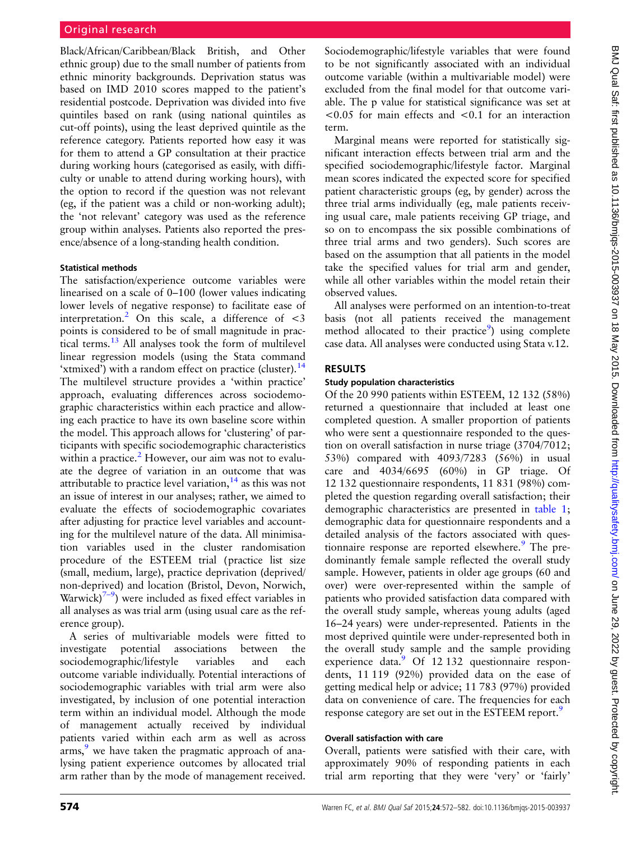# Original research

Black/African/Caribbean/Black British, and Other ethnic group) due to the small number of patients from ethnic minority backgrounds. Deprivation status was based on IMD 2010 scores mapped to the patient's residential postcode. Deprivation was divided into five quintiles based on rank (using national quintiles as cut-off points), using the least deprived quintile as the reference category. Patients reported how easy it was for them to attend a GP consultation at their practice during working hours (categorised as easily, with difficulty or unable to attend during working hours), with the option to record if the question was not relevant (eg, if the patient was a child or non-working adult); the 'not relevant' category was used as the reference group within analyses. Patients also reported the presence/absence of a long-standing health condition.

### Statistical methods

The satisfaction/experience outcome variables were linearised on a scale of 0–100 (lower values indicating lower levels of negative response) to facilitate ease of interpretation.<sup>[2](#page-9-0)</sup> On this scale, a difference of  $\lt$ 3 points is considered to be of small magnitude in practical terms.[13](#page-10-0) All analyses took the form of multilevel linear regression models (using the Stata command 'xtmixed') with a random effect on practice (cluster).<sup>[14](#page-10-0)</sup> The multilevel structure provides a 'within practice' approach, evaluating differences across sociodemographic characteristics within each practice and allowing each practice to have its own baseline score within the model. This approach allows for 'clustering' of participants with specific sociodemographic characteristics within a practice. $^{2}$  $^{2}$  $^{2}$  However, our aim was not to evaluate the degree of variation in an outcome that was attributable to practice level variation, $14$  as this was not an issue of interest in our analyses; rather, we aimed to evaluate the effects of sociodemographic covariates after adjusting for practice level variables and accounting for the multilevel nature of the data. All minimisation variables used in the cluster randomisation procedure of the ESTEEM trial (practice list size (small, medium, large), practice deprivation (deprived/ non-deprived) and location (Bristol, Devon, Norwich, Warwick) $7-9$  $7-9$ ) were included as fixed effect variables in all analyses as was trial arm (using usual care as the reference group).

A series of multivariable models were fitted to investigate potential associations between the sociodemographic/lifestyle variables and each outcome variable individually. Potential interactions of sociodemographic variables with trial arm were also investigated, by inclusion of one potential interaction term within an individual model. Although the mode of management actually received by individual patients varied within each arm as well as across  $a$ rms, $9$  we have taken the pragmatic approach of analysing patient experience outcomes by allocated trial arm rather than by the mode of management received.

Sociodemographic/lifestyle variables that were found to be not significantly associated with an individual outcome variable (within a multivariable model) were excluded from the final model for that outcome variable. The p value for statistical significance was set at  $\leq 0.05$  for main effects and  $\leq 0.1$  for an interaction term.

Marginal means were reported for statistically significant interaction effects between trial arm and the specified sociodemographic/lifestyle factor. Marginal mean scores indicated the expected score for specified patient characteristic groups (eg, by gender) across the three trial arms individually (eg, male patients receiving usual care, male patients receiving GP triage, and so on to encompass the six possible combinations of three trial arms and two genders). Such scores are based on the assumption that all patients in the model take the specified values for trial arm and gender, while all other variables within the model retain their observed values.

All analyses were performed on an intention-to-treat basis (not all patients received the management method allocated to their practice<sup>[9](#page-10-0)</sup>) using complete case data. All analyses were conducted using Stata v.12.

### RESULTS

### Study population characteristics

Of the 20 990 patients within ESTEEM, 12 132 (58%) returned a questionnaire that included at least one completed question. A smaller proportion of patients who were sent a questionnaire responded to the question on overall satisfaction in nurse triage (3704/7012; 53%) compared with 4093/7283 (56%) in usual care and 4034/6695 (60%) in GP triage. Of 12 132 questionnaire respondents, 11 831 (98%) completed the question regarding overall satisfaction; their demographic characteristics are presented in [table 1](#page-3-0); demographic data for questionnaire respondents and a detailed analysis of the factors associated with ques-tionnaire response are reported elsewhere.<sup>[9](#page-10-0)</sup> The predominantly female sample reflected the overall study sample. However, patients in older age groups (60 and over) were over-represented within the sample of patients who provided satisfaction data compared with the overall study sample, whereas young adults (aged 16–24 years) were under-represented. Patients in the most deprived quintile were under-represented both in the overall study sample and the sample providing experience data.<sup>[9](#page-10-0)</sup> Of 12 132 questionnaire respondents, 11 119 (92%) provided data on the ease of getting medical help or advice; 11 783 (97%) provided data on convenience of care. The frequencies for each response category are set out in the ESTEEM report.<sup>[9](#page-10-0)</sup>

### Overall satisfaction with care

Overall, patients were satisfied with their care, with approximately 90% of responding patients in each trial arm reporting that they were 'very' or 'fairly'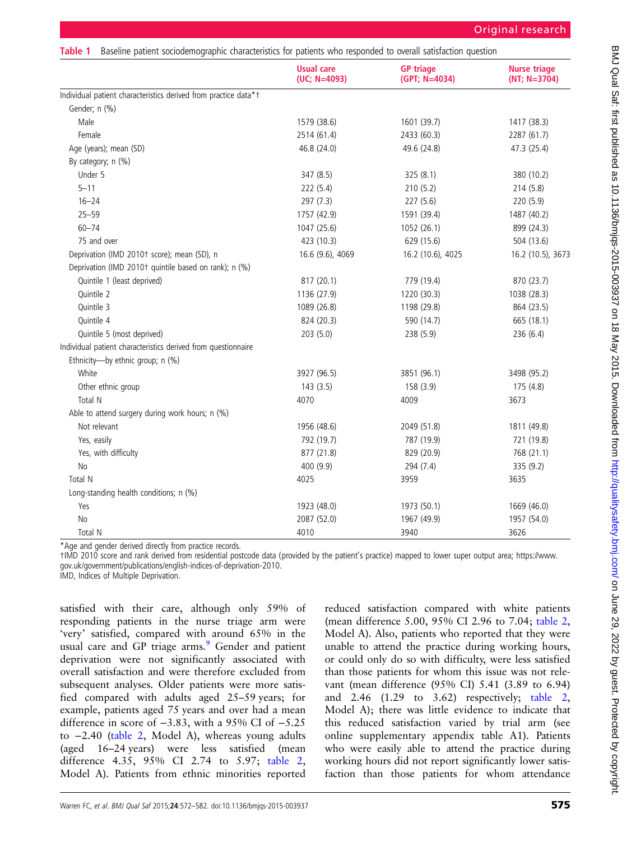<span id="page-3-0"></span>

|                                                                 | <b>Usual care</b><br>(UC; N=4093) | <b>GP</b> triage<br>(GPT; N=4034) | <b>Nurse triage</b><br>(NT; N=3704) |
|-----------------------------------------------------------------|-----------------------------------|-----------------------------------|-------------------------------------|
| Individual patient characteristics derived from practice data*1 |                                   |                                   |                                     |
| Gender; n (%)                                                   |                                   |                                   |                                     |
| Male                                                            | 1579 (38.6)                       | 1601 (39.7)                       | 1417 (38.3)                         |
| Female                                                          | 2514 (61.4)                       | 2433 (60.3)                       | 2287 (61.7)                         |
| Age (years); mean (SD)                                          | 46.8 (24.0)                       | 49.6 (24.8)                       | 47.3 (25.4)                         |
| By category; n (%)                                              |                                   |                                   |                                     |
| Under 5                                                         | 347 (8.5)                         | 325(8.1)                          | 380 (10.2)                          |
| $5 - 11$                                                        | 222(5.4)                          | 210(5.2)                          | 214 (5.8)                           |
| $16 - 24$                                                       | 297(7.3)                          | 227(5.6)                          | 220 (5.9)                           |
| $25 - 59$                                                       | 1757 (42.9)                       | 1591 (39.4)                       | 1487 (40.2)                         |
| $60 - 74$                                                       | 1047 (25.6)                       | 1052 (26.1)                       | 899 (24.3)                          |
| 75 and over                                                     | 423 (10.3)                        | 629 (15.6)                        | 504 (13.6)                          |
| Deprivation (IMD 2010† score); mean (SD), n                     | 16.6 (9.6), 4069                  | 16.2 (10.6), 4025                 | 16.2 (10.5), 3673                   |
| Deprivation (IMD 2010† quintile based on rank); n (%)           |                                   |                                   |                                     |
| Quintile 1 (least deprived)                                     | 817 (20.1)                        | 779 (19.4)                        | 870 (23.7)                          |
| Quintile 2                                                      | 1136 (27.9)                       | 1220 (30.3)                       | 1038 (28.3)                         |
| Quintile 3                                                      | 1089 (26.8)                       | 1198 (29.8)                       | 864 (23.5)                          |
| Quintile 4                                                      | 824 (20.3)                        | 590 (14.7)                        | 665 (18.1)                          |
| Quintile 5 (most deprived)                                      | 203 (5.0)                         | 238 (5.9)                         | 236(6.4)                            |
| Individual patient characteristics derived from questionnaire   |                                   |                                   |                                     |
| Ethnicity-by ethnic group; n (%)                                |                                   |                                   |                                     |
| White                                                           | 3927 (96.5)                       | 3851 (96.1)                       | 3498 (95.2)                         |
| Other ethnic group                                              | 143(3.5)                          | 158 (3.9)                         | 175 (4.8)                           |
| Total N                                                         | 4070                              | 4009                              | 3673                                |
| Able to attend surgery during work hours; n (%)                 |                                   |                                   |                                     |
| Not relevant                                                    | 1956 (48.6)                       | 2049 (51.8)                       | 1811 (49.8)                         |
| Yes, easily                                                     | 792 (19.7)                        | 787 (19.9)                        | 721 (19.8)                          |
| Yes, with difficulty                                            | 877 (21.8)                        | 829 (20.9)                        | 768 (21.1)                          |
| No                                                              | 400 (9.9)                         | 294 (7.4)                         | 335 (9.2)                           |
| Total N                                                         | 4025                              | 3959                              | 3635                                |
| Long-standing health conditions; n (%)                          |                                   |                                   |                                     |
| Yes                                                             | 1923 (48.0)                       | 1973 (50.1)                       | 1669 (46.0)                         |
| <b>No</b>                                                       | 2087 (52.0)                       | 1967 (49.9)                       | 1957 (54.0)                         |
| Total N                                                         | 4010                              | 3940                              | 3626                                |

\*Age and gender derived directly from practice records.

†IMD 2010 score and rank derived from residential postcode data (provided by the patient's practice) mapped to lower super output area; [https://www.](https://www.gov.uk/government/publications/english-indices-of-deprivation-2010) [gov.uk/government/publications/english-indices-of-deprivation-2010](https://www.gov.uk/government/publications/english-indices-of-deprivation-2010).

IMD, Indices of Multiple Deprivation.

satisfied with their care, although only 59% of responding patients in the nurse triage arm were 'very' satisfied, compared with around 65% in the usual care and GP triage arms.<sup>[9](#page-10-0)</sup> Gender and patient deprivation were not significantly associated with overall satisfaction and were therefore excluded from subsequent analyses. Older patients were more satisfied compared with adults aged 25–59 years; for example, patients aged 75 years and over had a mean difference in score of −3.83, with a 95% CI of −5.25 to −2.40 ([table 2](#page-4-0), Model A), whereas young adults (aged 16–24 years) were less satisfied (mean difference 4.35, 95% CI 2.74 to 5.97; [table 2,](#page-4-0) Model A). Patients from ethnic minorities reported

reduced satisfaction compared with white patients (mean difference 5.00, 95% CI 2.96 to 7.04; [table 2,](#page-4-0) Model A). Also, patients who reported that they were unable to attend the practice during working hours, or could only do so with difficulty, were less satisfied than those patients for whom this issue was not relevant (mean difference (95% CI) 5.41 (3.89 to 6.94) and 2.46 (1.29 to 3.62) respectively; [table 2,](#page-4-0) Model A); there was little evidence to indicate that this reduced satisfaction varied by trial arm (see online supplementary appendix table A1). Patients who were easily able to attend the practice during working hours did not report significantly lower satisfaction than those patients for whom attendance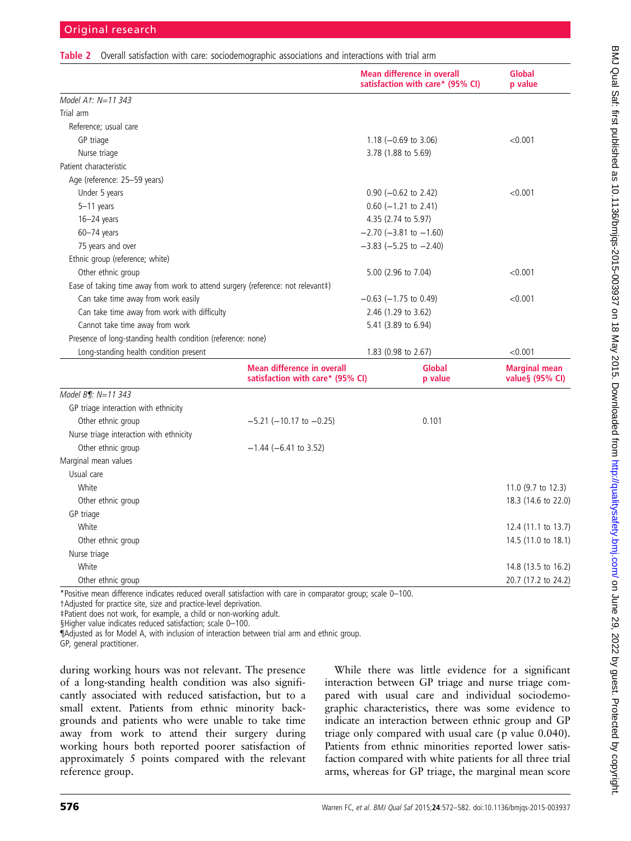<span id="page-4-0"></span>

|                                                                                 |                                                                       | <b>Mean difference in overall</b><br>satisfaction with care* (95% CI) | <b>Global</b><br>p value                |
|---------------------------------------------------------------------------------|-----------------------------------------------------------------------|-----------------------------------------------------------------------|-----------------------------------------|
| Model At: $N=11.343$                                                            |                                                                       |                                                                       |                                         |
| Trial arm                                                                       |                                                                       |                                                                       |                                         |
| Reference; usual care                                                           |                                                                       |                                                                       |                                         |
| GP triage                                                                       |                                                                       | 1.18 $(-0.69 \text{ to } 3.06)$                                       | < 0.001                                 |
| Nurse triage                                                                    |                                                                       | 3.78 (1.88 to 5.69)                                                   |                                         |
| Patient characteristic                                                          |                                                                       |                                                                       |                                         |
| Age (reference: 25-59 years)                                                    |                                                                       |                                                                       |                                         |
| Under 5 years                                                                   |                                                                       | $0.90$ (-0.62 to 2.42)                                                | < 0.001                                 |
| 5-11 years                                                                      |                                                                       | $0.60$ (-1.21 to 2.41)                                                |                                         |
| 16-24 years                                                                     |                                                                       | 4.35 (2.74 to 5.97)                                                   |                                         |
| $60 - 74$ years                                                                 |                                                                       | $-2.70$ ( $-3.81$ to $-1.60$ )                                        |                                         |
| 75 years and over                                                               |                                                                       | $-3.83$ ( $-5.25$ to $-2.40$ )                                        |                                         |
| Ethnic group (reference; white)                                                 |                                                                       |                                                                       |                                         |
| Other ethnic group                                                              |                                                                       | 5.00 (2.96 to 7.04)                                                   | < 0.001                                 |
| Ease of taking time away from work to attend surgery (reference: not relevant‡) |                                                                       |                                                                       |                                         |
| Can take time away from work easily                                             |                                                                       | $-0.63$ ( $-1.75$ to 0.49)                                            | < 0.001                                 |
| Can take time away from work with difficulty                                    |                                                                       | 2.46 $(1.29 \text{ to } 3.62)$                                        |                                         |
| Cannot take time away from work                                                 |                                                                       | 5.41 (3.89 to 6.94)                                                   |                                         |
| Presence of long-standing health condition (reference: none)                    |                                                                       |                                                                       |                                         |
| Long-standing health condition present                                          |                                                                       | 1.83 (0.98 to 2.67)                                                   | < 0.001                                 |
|                                                                                 | <b>Mean difference in overall</b><br>satisfaction with care* (95% CI) | Global<br>p value                                                     | <b>Marginal mean</b><br>value§ (95% CI) |
| Model B¶: N=11 343                                                              |                                                                       |                                                                       |                                         |
| GP triage interaction with ethnicity                                            |                                                                       |                                                                       |                                         |
| Other ethnic group                                                              | $-5.21$ (-10.17 to -0.25)                                             | 0.101                                                                 |                                         |
| Nurse triage interaction with ethnicity                                         |                                                                       |                                                                       |                                         |
| Other ethnic group                                                              | $-1.44$ (-6.41 to 3.52)                                               |                                                                       |                                         |
| Marginal mean values                                                            |                                                                       |                                                                       |                                         |
| Usual care                                                                      |                                                                       |                                                                       |                                         |
| White                                                                           |                                                                       |                                                                       | 11.0 $(9.7 \text{ to } 12.3)$           |
| Other ethnic group                                                              |                                                                       |                                                                       | 18.3 (14.6 to 22.0)                     |
| GP triage                                                                       |                                                                       |                                                                       |                                         |
| White                                                                           |                                                                       |                                                                       | 12.4 (11.1 to 13.7)                     |
| Other ethnic group                                                              |                                                                       |                                                                       | 14.5 (11.0 to 18.1)                     |
| Nurse triage                                                                    |                                                                       |                                                                       |                                         |
| White                                                                           |                                                                       |                                                                       | 14.8 (13.5 to 16.2)                     |
| Other ethnic group                                                              |                                                                       |                                                                       | 20.7 (17.2 to 24.2)                     |

\*Positive mean difference indicates reduced overall satisfaction with care in comparator group; scale 0–100. †Adjusted for practice site, size and practice-level deprivation.

‡Patient does not work, for example, a child or non-working adult.

§Higher value indicates reduced satisfaction; scale 0–100.

¶Adjusted as for Model A, with inclusion of interaction between trial arm and ethnic group.

GP, general practitioner.

during working hours was not relevant. The presence of a long-standing health condition was also significantly associated with reduced satisfaction, but to a small extent. Patients from ethnic minority backgrounds and patients who were unable to take time away from work to attend their surgery during working hours both reported poorer satisfaction of approximately 5 points compared with the relevant reference group.

While there was little evidence for a significant interaction between GP triage and nurse triage compared with usual care and individual sociodemographic characteristics, there was some evidence to indicate an interaction between ethnic group and GP triage only compared with usual care (p value 0.040). Patients from ethnic minorities reported lower satisfaction compared with white patients for all three trial arms, whereas for GP triage, the marginal mean score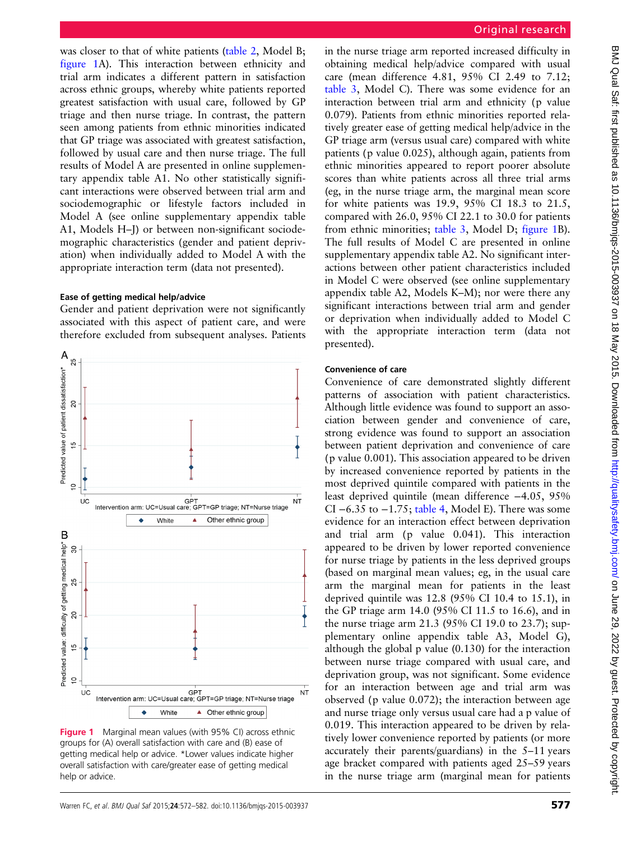was closer to that of white patients ([table 2](#page-4-0), Model B; figure 1A). This interaction between ethnicity and trial arm indicates a different pattern in satisfaction across ethnic groups, whereby white patients reported greatest satisfaction with usual care, followed by GP triage and then nurse triage. In contrast, the pattern seen among patients from ethnic minorities indicated that GP triage was associated with greatest satisfaction, followed by usual care and then nurse triage. The full results of Model A are presented in online supplementary appendix table A1. No other statistically significant interactions were observed between trial arm and sociodemographic or lifestyle factors included in Model A (see online supplementary appendix table A1, Models H–J) or between non-significant sociodemographic characteristics (gender and patient deprivation) when individually added to Model A with the appropriate interaction term (data not presented).

### Ease of getting medical help/advice

Gender and patient deprivation were not significantly associated with this aspect of patient care, and were therefore excluded from subsequent analyses. Patients



Figure 1 Marginal mean values (with 95% CI) across ethnic groups for (A) overall satisfaction with care and (B) ease of getting medical help or advice. \*Lower values indicate higher overall satisfaction with care/greater ease of getting medical help or advice.

in the nurse triage arm reported increased difficulty in obtaining medical help/advice compared with usual care (mean difference 4.81, 95% CI 2.49 to 7.12; [table 3,](#page-6-0) Model C). There was some evidence for an interaction between trial arm and ethnicity (p value 0.079). Patients from ethnic minorities reported relatively greater ease of getting medical help/advice in the GP triage arm (versus usual care) compared with white patients (p value 0.025), although again, patients from ethnic minorities appeared to report poorer absolute scores than white patients across all three trial arms (eg, in the nurse triage arm, the marginal mean score for white patients was 19.9, 95% CI 18.3 to 21.5, compared with 26.0, 95% CI 22.1 to 30.0 for patients from ethnic minorities; [table 3,](#page-6-0) Model D; figure 1B). The full results of Model C are presented in online supplementary appendix table A2. No significant interactions between other patient characteristics included in Model C were observed (see online supplementary appendix table A2, Models K–M); nor were there any significant interactions between trial arm and gender or deprivation when individually added to Model C with the appropriate interaction term (data not presented).

#### Convenience of care

Convenience of care demonstrated slightly different patterns of association with patient characteristics. Although little evidence was found to support an association between gender and convenience of care, strong evidence was found to support an association between patient deprivation and convenience of care (p value 0.001). This association appeared to be driven by increased convenience reported by patients in the most deprived quintile compared with patients in the least deprived quintile (mean difference −4.05, 95% CI  $-6.35$  to  $-1.75$ ; [table 4](#page-7-0), Model E). There was some evidence for an interaction effect between deprivation and trial arm (p value 0.041). This interaction appeared to be driven by lower reported convenience for nurse triage by patients in the less deprived groups (based on marginal mean values; eg, in the usual care arm the marginal mean for patients in the least deprived quintile was 12.8 (95% CI 10.4 to 15.1), in the GP triage arm 14.0 (95% CI 11.5 to 16.6), and in the nurse triage arm 21.3 (95% CI 19.0 to 23.7); supplementary [online appendix](http://qualitysafety.bmj.com/lookup/suppl/doi:10.1136/bmjqs-2015-003937/-/DC1) table A3, Model G), although the global p value (0.130) for the interaction between nurse triage compared with usual care, and deprivation group, was not significant. Some evidence for an interaction between age and trial arm was observed (p value 0.072); the interaction between age and nurse triage only versus usual care had a p value of 0.019. This interaction appeared to be driven by relatively lower convenience reported by patients (or more accurately their parents/guardians) in the 5–11 years age bracket compared with patients aged 25–59 years in the nurse triage arm (marginal mean for patients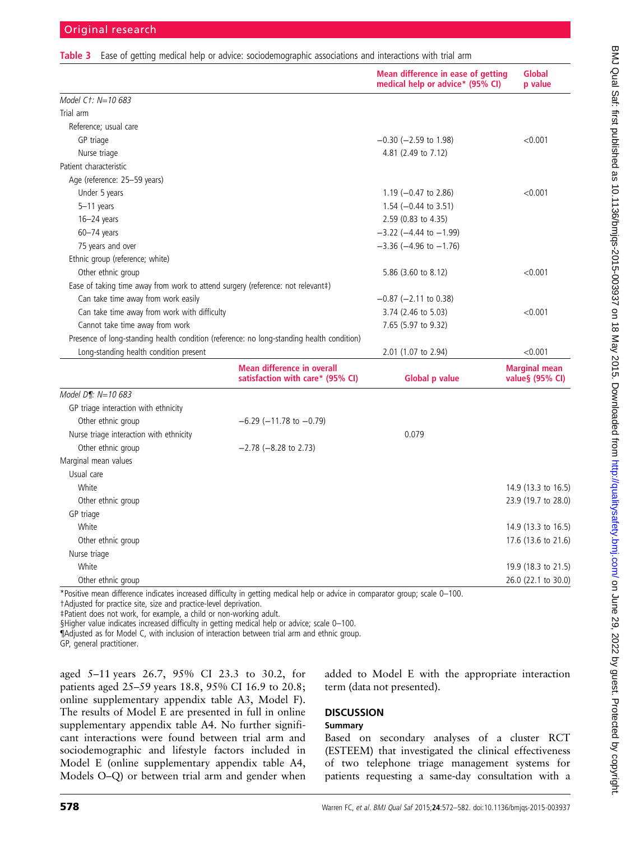<span id="page-6-0"></span>

|  |  |  |  |  | Table 3 Ease of getting medical help or advice: sociodemographic associations and interactions with trial arm |  |  |  |
|--|--|--|--|--|---------------------------------------------------------------------------------------------------------------|--|--|--|
|--|--|--|--|--|---------------------------------------------------------------------------------------------------------------|--|--|--|

|                                                                                 |                                                                                           | Mean difference in ease of getting<br>medical help or advice* (95% CI) | <b>Global</b><br>p value                |
|---------------------------------------------------------------------------------|-------------------------------------------------------------------------------------------|------------------------------------------------------------------------|-----------------------------------------|
| Model Ct: N=10 683                                                              |                                                                                           |                                                                        |                                         |
| Trial arm                                                                       |                                                                                           |                                                                        |                                         |
| Reference; usual care                                                           |                                                                                           |                                                                        |                                         |
| GP triage                                                                       |                                                                                           | $-0.30$ ( $-2.59$ to 1.98)                                             | < 0.001                                 |
| Nurse triage                                                                    |                                                                                           | 4.81 (2.49 to 7.12)                                                    |                                         |
| Patient characteristic                                                          |                                                                                           |                                                                        |                                         |
| Age (reference: 25-59 years)                                                    |                                                                                           |                                                                        |                                         |
| Under 5 years                                                                   |                                                                                           | $1.19$ (-0.47 to 2.86)                                                 | < 0.001                                 |
| $5 - 11$ years                                                                  |                                                                                           | 1.54 $(-0.44 \text{ to } 3.51)$                                        |                                         |
| $16 - 24$ years                                                                 |                                                                                           | 2.59 (0.83 to 4.35)                                                    |                                         |
| $60 - 74$ years                                                                 |                                                                                           | $-3.22$ ( $-4.44$ to $-1.99$ )                                         |                                         |
| 75 years and over                                                               |                                                                                           | $-3.36$ ( $-4.96$ to $-1.76$ )                                         |                                         |
| Ethnic group (reference; white)                                                 |                                                                                           |                                                                        |                                         |
| Other ethnic group                                                              |                                                                                           | 5.86 $(3.60 \text{ to } 8.12)$                                         | < 0.001                                 |
| Ease of taking time away from work to attend surgery (reference: not relevant‡) |                                                                                           |                                                                        |                                         |
| Can take time away from work easily                                             |                                                                                           | $-0.87$ ( $-2.11$ to 0.38)                                             |                                         |
| Can take time away from work with difficulty                                    |                                                                                           | 3.74 (2.46 to 5.03)                                                    | < 0.001                                 |
| Cannot take time away from work                                                 |                                                                                           | 7.65 (5.97 to 9.32)                                                    |                                         |
|                                                                                 | Presence of long-standing health condition (reference: no long-standing health condition) |                                                                        |                                         |
| Long-standing health condition present                                          |                                                                                           | 2.01 (1.07 to 2.94)                                                    | < 0.001                                 |
|                                                                                 | <b>Mean difference in overall</b><br>satisfaction with care* (95% CI)                     | <b>Global p value</b>                                                  | <b>Marginal mean</b><br>value§ (95% CI) |
| Model D¶: N=10 683                                                              |                                                                                           |                                                                        |                                         |
| GP triage interaction with ethnicity                                            |                                                                                           |                                                                        |                                         |
| Other ethnic group                                                              | $-6.29$ ( $-11.78$ to $-0.79$ )                                                           |                                                                        |                                         |
| Nurse triage interaction with ethnicity                                         |                                                                                           | 0.079                                                                  |                                         |
| Other ethnic group                                                              | $-2.78$ ( $-8.28$ to 2.73)                                                                |                                                                        |                                         |
| Marginal mean values                                                            |                                                                                           |                                                                        |                                         |
| Usual care                                                                      |                                                                                           |                                                                        |                                         |
| White                                                                           |                                                                                           |                                                                        | 14.9 (13.3 to 16.5)                     |
| Other ethnic group                                                              |                                                                                           |                                                                        | 23.9 (19.7 to 28.0)                     |
| GP triage                                                                       |                                                                                           |                                                                        |                                         |
| White                                                                           |                                                                                           |                                                                        | 14.9 (13.3 to 16.5)                     |
| Other ethnic group                                                              |                                                                                           |                                                                        | 17.6 (13.6 to 21.6)                     |
| Nurse triage                                                                    |                                                                                           |                                                                        |                                         |
| White                                                                           |                                                                                           |                                                                        | 19.9 (18.3 to 21.5)                     |
| Other ethnic group                                                              |                                                                                           |                                                                        | 26.0 (22.1 to 30.0)                     |

\*Positive mean difference indicates increased difficulty in getting medical help or advice in comparator group; scale 0–100. †Adjusted for practice site, size and practice-level deprivation.

‡Patient does not work, for example, a child or non-working adult.

§Higher value indicates increased difficulty in getting medical help or advice; scale 0–100.

¶Adjusted as for Model C, with inclusion of interaction between trial arm and ethnic group.

GP, general practitioner.

aged 5–11 years 26.7, 95% CI 23.3 to 30.2, for patients aged 25–59 years 18.8, 95% CI 16.9 to 20.8; online supplementary appendix table A3, Model F). The results of Model E are presented in full in online supplementary appendix table A4. No further significant interactions were found between trial arm and sociodemographic and lifestyle factors included in Model E (online supplementary appendix table A4, Models O–Q) or between trial arm and gender when added to Model E with the appropriate interaction term (data not presented).

# **DISCUSSION**

### **Summary**

Based on secondary analyses of a cluster RCT (ESTEEM) that investigated the clinical effectiveness of two telephone triage management systems for patients requesting a same-day consultation with a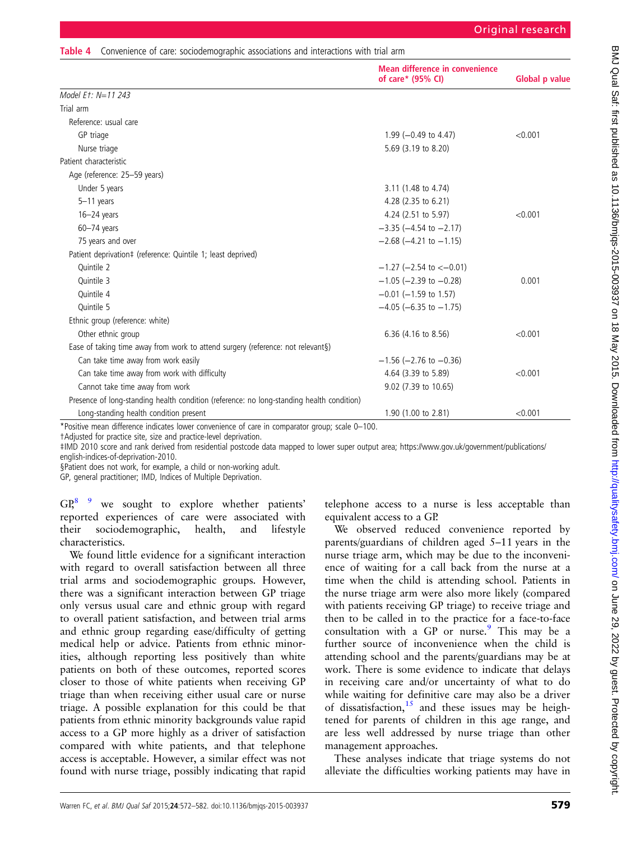# Original research

<span id="page-7-0"></span>

|                                                                                           | <b>Mean difference in convenience</b><br>of care* (95% CI) | <b>Global p value</b> |
|-------------------------------------------------------------------------------------------|------------------------------------------------------------|-----------------------|
| Model Et: $N=11$ 243                                                                      |                                                            |                       |
| Trial arm                                                                                 |                                                            |                       |
| Reference: usual care                                                                     |                                                            |                       |
| GP triage                                                                                 | 1.99 $(-0.49$ to 4.47)                                     | < 0.001               |
| Nurse triage                                                                              | 5.69 (3.19 to 8.20)                                        |                       |
| Patient characteristic                                                                    |                                                            |                       |
| Age (reference: 25-59 years)                                                              |                                                            |                       |
| Under 5 years                                                                             | 3.11 (1.48 to 4.74)                                        |                       |
| $5-11$ years                                                                              | 4.28 (2.35 to 6.21)                                        |                       |
| $16 - 24$ years                                                                           | 4.24 (2.51 to 5.97)                                        | < 0.001               |
| $60 - 74$ years                                                                           | $-3.35$ ( $-4.54$ to $-2.17$ )                             |                       |
| 75 years and over                                                                         | $-2.68$ ( $-4.21$ to $-1.15$ )                             |                       |
| Patient deprivation‡ (reference: Quintile 1; least deprived)                              |                                                            |                       |
| Quintile 2                                                                                | $-1.27$ (-2.54 to <-0.01)                                  |                       |
| Quintile 3                                                                                | $-1.05$ (-2.39 to -0.28)                                   | 0.001                 |
| Ouintile 4                                                                                | $-0.01$ ( $-1.59$ to 1.57)                                 |                       |
| Ouintile 5                                                                                | $-4.05$ (-6.35 to $-1.75$ )                                |                       |
| Ethnic group (reference: white)                                                           |                                                            |                       |
| Other ethnic group                                                                        | 6.36 (4.16 to 8.56)                                        | < 0.001               |
| Ease of taking time away from work to attend surgery (reference: not relevant§)           |                                                            |                       |
| Can take time away from work easily                                                       | $-1.56$ ( $-2.76$ to $-0.36$ )                             |                       |
| Can take time away from work with difficulty                                              | 4.64 (3.39 to 5.89)                                        | < 0.001               |
| Cannot take time away from work                                                           | 9.02 (7.39 to 10.65)                                       |                       |
| Presence of long-standing health condition (reference: no long-standing health condition) |                                                            |                       |
| Long-standing health condition present                                                    | 1.90 (1.00 to 2.81)                                        | < 0.001               |

\*Positive mean difference indicates lower convenience of care in comparator group; scale 0–100.

†Adjusted for practice site, size and practice-level deprivation.

‡IMD 2010 score and rank derived from residential postcode data mapped to lower super output area; [https://www.gov.uk/government/publications/](https://www.gov.uk/government/publications/english-indices-of-deprivation-2010) [english-indices-of-deprivation-2010.](https://www.gov.uk/government/publications/english-indices-of-deprivation-2010)

§Patient does not work, for example, a child or non-working adult.

GP, general practitioner; IMD, Indices of Multiple Deprivation.

 $GP^8$ <sup>9</sup> we sought to explore whether patients' reported experiences of care were associated with their sociodemographic, health, and lifestyle characteristics.

We found little evidence for a significant interaction with regard to overall satisfaction between all three trial arms and sociodemographic groups. However, there was a significant interaction between GP triage only versus usual care and ethnic group with regard to overall patient satisfaction, and between trial arms and ethnic group regarding ease/difficulty of getting medical help or advice. Patients from ethnic minorities, although reporting less positively than white patients on both of these outcomes, reported scores closer to those of white patients when receiving GP triage than when receiving either usual care or nurse triage. A possible explanation for this could be that patients from ethnic minority backgrounds value rapid access to a GP more highly as a driver of satisfaction compared with white patients, and that telephone access is acceptable. However, a similar effect was not found with nurse triage, possibly indicating that rapid

telephone access to a nurse is less acceptable than equivalent access to a GP.

We observed reduced convenience reported by parents/guardians of children aged 5–11 years in the nurse triage arm, which may be due to the inconvenience of waiting for a call back from the nurse at a time when the child is attending school. Patients in the nurse triage arm were also more likely (compared with patients receiving GP triage) to receive triage and then to be called in to the practice for a face-to-face consultation with a GP or nurse. This may be a further source of inconvenience when the child is attending school and the parents/guardians may be at work. There is some evidence to indicate that delays in receiving care and/or uncertainty of what to do while waiting for definitive care may also be a driver of dissatisfaction, $15$  and these issues may be heightened for parents of children in this age range, and are less well addressed by nurse triage than other management approaches.

These analyses indicate that triage systems do not alleviate the difficulties working patients may have in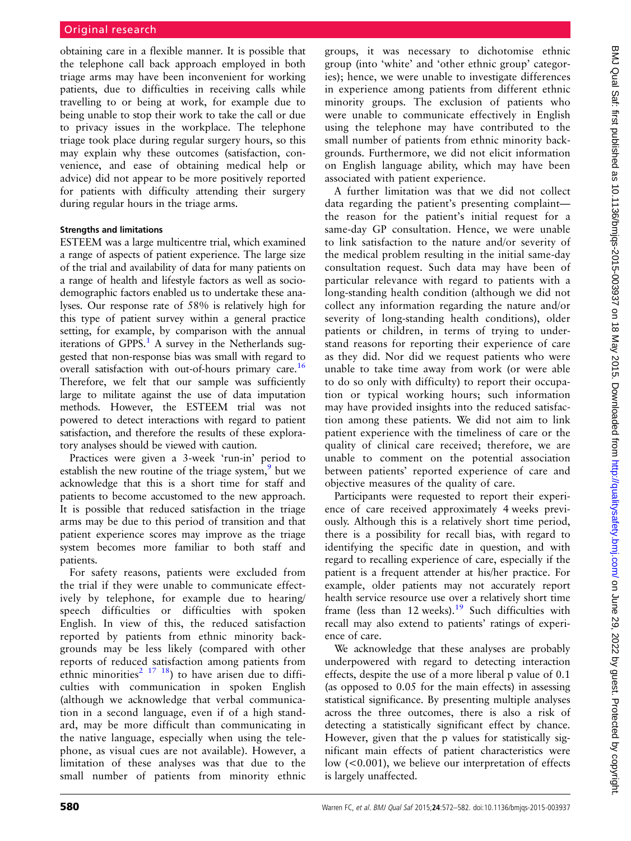obtaining care in a flexible manner. It is possible that the telephone call back approach employed in both triage arms may have been inconvenient for working patients, due to difficulties in receiving calls while travelling to or being at work, for example due to being unable to stop their work to take the call or due to privacy issues in the workplace. The telephone triage took place during regular surgery hours, so this may explain why these outcomes (satisfaction, convenience, and ease of obtaining medical help or advice) did not appear to be more positively reported for patients with difficulty attending their surgery during regular hours in the triage arms.

### Strengths and limitations

ESTEEM was a large multicentre trial, which examined a range of aspects of patient experience. The large size of the trial and availability of data for many patients on a range of health and lifestyle factors as well as sociodemographic factors enabled us to undertake these analyses. Our response rate of 58% is relatively high for this type of patient survey within a general practice setting, for example, by comparison with the annual iterations of GPPS.<sup>[1](#page-9-0)</sup> A survey in the Netherlands suggested that non-response bias was small with regard to overall satisfaction with out-of-hours primary care.<sup>16</sup> Therefore, we felt that our sample was sufficiently large to militate against the use of data imputation methods. However, the ESTEEM trial was not powered to detect interactions with regard to patient satisfaction, and therefore the results of these exploratory analyses should be viewed with caution.

Practices were given a 3-week 'run-in' period to establish the new routine of the triage system, $9$  but we acknowledge that this is a short time for staff and patients to become accustomed to the new approach. It is possible that reduced satisfaction in the triage arms may be due to this period of transition and that patient experience scores may improve as the triage system becomes more familiar to both staff and patients.

For safety reasons, patients were excluded from the trial if they were unable to communicate effectively by telephone, for example due to hearing/ speech difficulties or difficulties with spoken English. In view of this, the reduced satisfaction reported by patients from ethnic minority backgrounds may be less likely (compared with other reports of reduced satisfaction among patients from ethnic minorities<sup>[2](#page-9-0) [17 18](#page-10-0)</sup>) to have arisen due to difficulties with communication in spoken English (although we acknowledge that verbal communication in a second language, even if of a high standard, may be more difficult than communicating in the native language, especially when using the telephone, as visual cues are not available). However, a limitation of these analyses was that due to the small number of patients from minority ethnic

groups, it was necessary to dichotomise ethnic group (into 'white' and 'other ethnic group' categories); hence, we were unable to investigate differences in experience among patients from different ethnic minority groups. The exclusion of patients who were unable to communicate effectively in English using the telephone may have contributed to the small number of patients from ethnic minority backgrounds. Furthermore, we did not elicit information on English language ability, which may have been associated with patient experience.

A further limitation was that we did not collect data regarding the patient's presenting complaint the reason for the patient's initial request for a same-day GP consultation. Hence, we were unable to link satisfaction to the nature and/or severity of the medical problem resulting in the initial same-day consultation request. Such data may have been of particular relevance with regard to patients with a long-standing health condition (although we did not collect any information regarding the nature and/or severity of long-standing health conditions), older patients or children, in terms of trying to understand reasons for reporting their experience of care as they did. Nor did we request patients who were unable to take time away from work (or were able to do so only with difficulty) to report their occupation or typical working hours; such information may have provided insights into the reduced satisfaction among these patients. We did not aim to link patient experience with the timeliness of care or the quality of clinical care received; therefore, we are unable to comment on the potential association between patients' reported experience of care and objective measures of the quality of care.

Participants were requested to report their experience of care received approximately 4 weeks previously. Although this is a relatively short time period, there is a possibility for recall bias, with regard to identifying the specific date in question, and with regard to recalling experience of care, especially if the patient is a frequent attender at his/her practice. For example, older patients may not accurately report health service resource use over a relatively short time frame (less than  $12$  weeks).<sup>[19](#page-10-0)</sup> Such difficulties with recall may also extend to patients' ratings of experience of care.

We acknowledge that these analyses are probably underpowered with regard to detecting interaction effects, despite the use of a more liberal p value of 0.1 (as opposed to 0.05 for the main effects) in assessing statistical significance. By presenting multiple analyses across the three outcomes, there is also a risk of detecting a statistically significant effect by chance. However, given that the p values for statistically significant main effects of patient characteristics were low (<0.001), we believe our interpretation of effects is largely unaffected.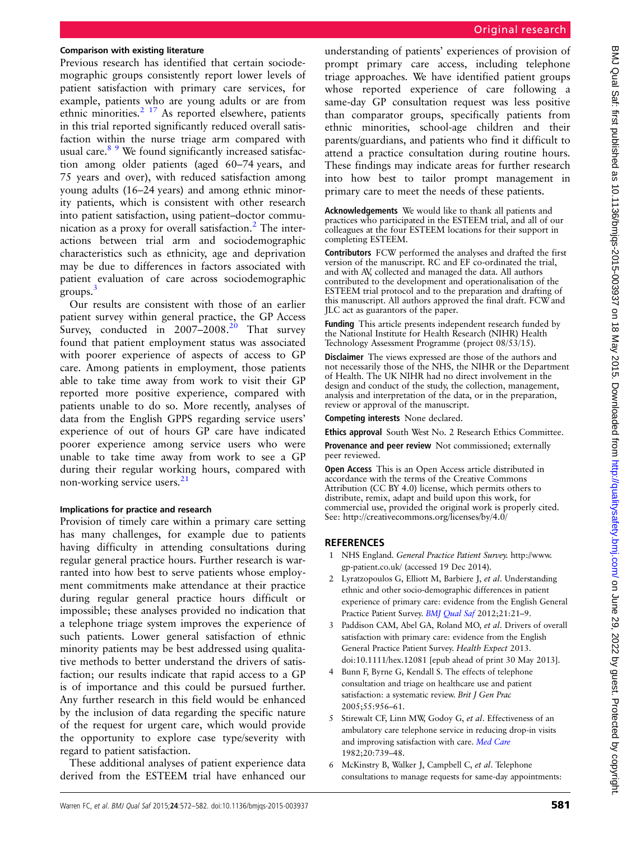#### <span id="page-9-0"></span>Comparison with existing literature

Previous research has identified that certain sociodemographic groups consistently report lower levels of patient satisfaction with primary care services, for example, patients who are young adults or are from ethnic minorities. $2 \frac{17}{17}$  As reported elsewhere, patients in this trial reported significantly reduced overall satisfaction within the nurse triage arm compared with usual care. $89$  We found significantly increased satisfaction among older patients (aged 60–74 years, and 75 years and over), with reduced satisfaction among young adults (16–24 years) and among ethnic minority patients, which is consistent with other research into patient satisfaction, using patient–doctor communication as a proxy for overall satisfaction. $<sup>2</sup>$  The inter-</sup> actions between trial arm and sociodemographic characteristics such as ethnicity, age and deprivation may be due to differences in factors associated with patient evaluation of care across sociodemographic groups.<sup>3</sup>

Our results are consistent with those of an earlier patient survey within general practice, the GP Access Survey, conducted in  $2007-2008.<sup>20</sup>$  $2007-2008.<sup>20</sup>$  That survey found that patient employment status was associated with poorer experience of aspects of access to GP care. Among patients in employment, those patients able to take time away from work to visit their GP reported more positive experience, compared with patients unable to do so. More recently, analyses of data from the English GPPS regarding service users' experience of out of hours GP care have indicated poorer experience among service users who were unable to take time away from work to see a GP during their regular working hours, compared with non-working service users.<sup>[21](#page-10-0)</sup>

#### Implications for practice and research

Provision of timely care within a primary care setting has many challenges, for example due to patients having difficulty in attending consultations during regular general practice hours. Further research is warranted into how best to serve patients whose employment commitments make attendance at their practice during regular general practice hours difficult or impossible; these analyses provided no indication that a telephone triage system improves the experience of such patients. Lower general satisfaction of ethnic minority patients may be best addressed using qualitative methods to better understand the drivers of satisfaction; our results indicate that rapid access to a GP is of importance and this could be pursued further. Any further research in this field would be enhanced by the inclusion of data regarding the specific nature of the request for urgent care, which would provide the opportunity to explore case type/severity with regard to patient satisfaction.

These additional analyses of patient experience data derived from the ESTEEM trial have enhanced our

understanding of patients' experiences of provision of prompt primary care access, including telephone triage approaches. We have identified patient groups whose reported experience of care following a same-day GP consultation request was less positive than comparator groups, specifically patients from ethnic minorities, school-age children and their parents/guardians, and patients who find it difficult to attend a practice consultation during routine hours. These findings may indicate areas for further research into how best to tailor prompt management in primary care to meet the needs of these patients.

Acknowledgements We would like to thank all patients and practices who participated in the ESTEEM trial, and all of our colleagues at the four ESTEEM locations for their support in completing ESTEEM.

Contributors FCW performed the analyses and drafted the first version of the manuscript. RC and EF co-ordinated the trial, and with AV, collected and managed the data. All authors contributed to the development and operationalisation of the ESTEEM trial protocol and to the preparation and drafting of this manuscript. All authors approved the final draft. FCW and JLC act as guarantors of the paper.

Funding This article presents independent research funded by the National Institute for Health Research (NIHR) Health Technology Assessment Programme (project 08/53/15).

Disclaimer The views expressed are those of the authors and not necessarily those of the NHS, the NIHR or the Department of Health. The UK NIHR had no direct involvement in the design and conduct of the study, the collection, management, analysis and interpretation of the data, or in the preparation, review or approval of the manuscript.

Competing interests None declared.

Ethics approval South West No. 2 Research Ethics Committee.

Provenance and peer review Not commissioned; externally peer reviewed.

Open Access This is an Open Access article distributed in accordance with the terms of the Creative Commons Attribution (CC BY 4.0) license, which permits others to distribute, remix, adapt and build upon this work, for commercial use, provided the original work is properly cited. See:<http://creativecommons.org/licenses/by/4.0/>

### **REFERENCES**

- 1 NHS England. General Practice Patient Survey. [http://www.](http://www.gp-patient.co.uk/) [gp-patient.co.uk/](http://www.gp-patient.co.uk/) (accessed 19 Dec 2014).
- 2 Lyratzopoulos G, Elliott M, Barbiere J, et al. Understanding ethnic and other socio-demographic differences in patient experience of primary care: evidence from the English General Practice Patient Survey. [BMJ Qual Saf](http://dx.doi.org/10.1136/bmjqs-2011-000088) 2012;21:21-9.
- 3 Paddison CAM, Abel GA, Roland MO, et al. Drivers of overall satisfaction with primary care: evidence from the English General Practice Patient Survey. Health Expect 2013. doi:10.1111/hex.12081 [epub ahead of print 30 May 2013].
- Bunn F, Byrne G, Kendall S. The effects of telephone consultation and triage on healthcare use and patient satisfaction: a systematic review. Brit J Gen Prac 2005;55:956–61.
- 5 Stirewalt CF, Linn MW, Godoy G, et al. Effectiveness of an ambulatory care telephone service in reducing drop-in visits and improving satisfaction with care. [Med Care](http://dx.doi.org/10.1097/00005650-198207000-00009) 1982;20:739–48.
- McKinstry B, Walker J, Campbell C, et al. Telephone consultations to manage requests for same-day appointments: